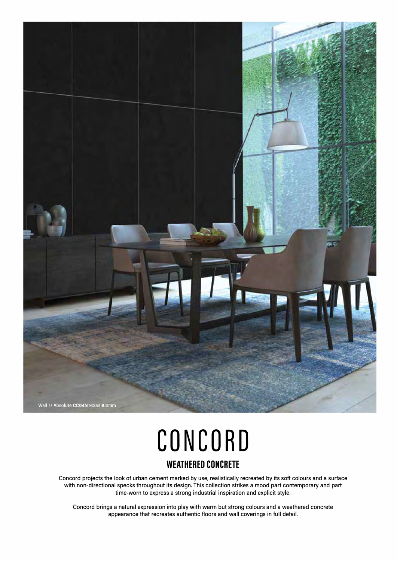

# **CONCORD WEATHERED CONCRETE**

Concord projects the look of urban cement marked by use, realistically recreated by its soft colours and a surface with non-directional specks throughout its design. This collection strikes a mood part contemporary and part time-worn to express a strong industrial inspiration and explicit style.

Concord brings a natural expression into play with warm but strong colours and a weathered concrete appearance that recreates authentic floors and wall coverings in full detail.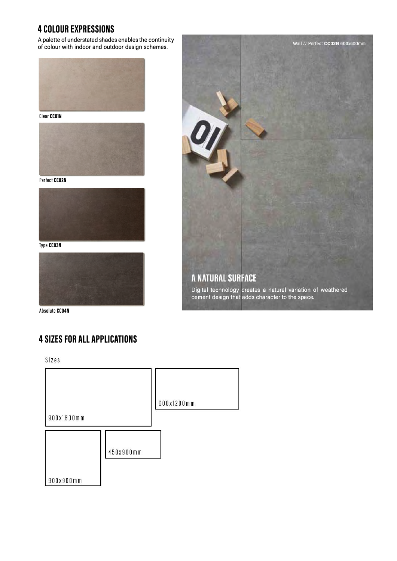## **4 COLOUR EXPRESSIONS**

A palette of understated shades enables the continuity of colour with indoor and outdoor design schemes.



**Clear CCOlN** 



**Perfect CC02N** 



**Type CC03N** 



**Absolute CCD4N** 

# **4 SIZES FOR ALL APPLICATIONS**

Sizes



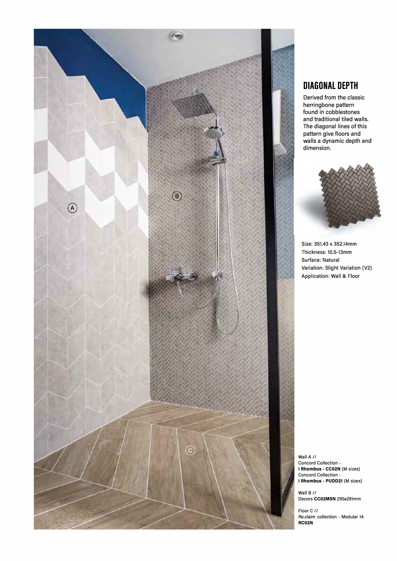

### **DIAGONAL DEPTH**

Derived from the classic herringbone pattern found in cobblestones and traditional tiled walls. The diagonal lines of this pattern give floors and walls a dynamic depth and dimension.



Size: 351.43 x 352.14mm Thickness: 10.5-13mm Surface: Natural Variation: Slight Variation (V2) Application: Wall & Floor

Wall A// Concord Collection i **Rhombus - CC02N** (M sizes) Concord Collection i **Rhombus - PUDD21** (M sizes)

Wall B // Decors **CC02MSN** 295x281mm

Floor C // Re.claim collection - Modular 14 **RC02N**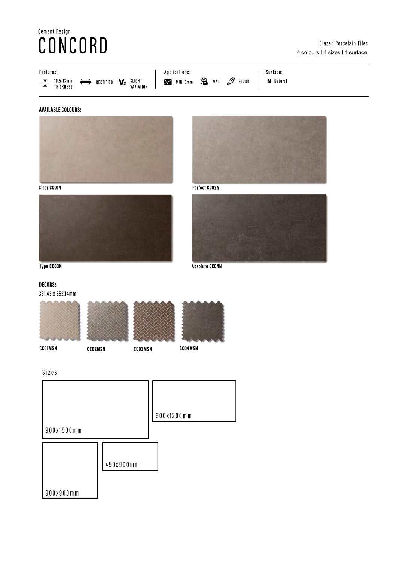# Cement Design<br>CONCORD



### **AVAILABLE COLOURS:**



Clear CCO1N





Perfect CCO2N

Absolute CC04N



Type CCO3N

### **DECORS:**

351.43 x 352.14mm







CC04MSN



**CCO1MSN** 

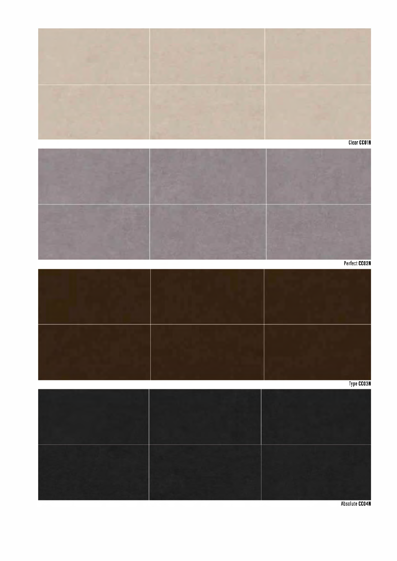

Absolute CC04N